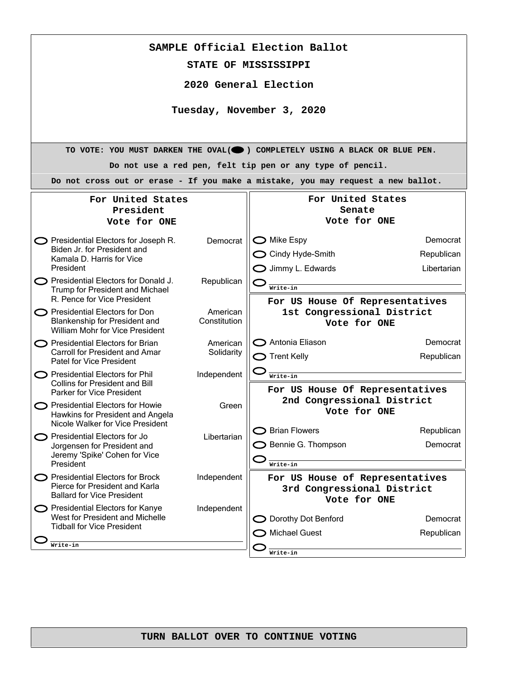| SAMPLE Official Election Ballot                                                |              |                                                                                  |                        |  |  |
|--------------------------------------------------------------------------------|--------------|----------------------------------------------------------------------------------|------------------------|--|--|
| STATE OF MISSISSIPPI                                                           |              |                                                                                  |                        |  |  |
| 2020 General Election                                                          |              |                                                                                  |                        |  |  |
|                                                                                |              |                                                                                  |                        |  |  |
| Tuesday, November 3, 2020                                                      |              |                                                                                  |                        |  |  |
|                                                                                |              |                                                                                  |                        |  |  |
| TO VOTE: YOU MUST DARKEN THE OVAL(O) COMPLETELY USING A BLACK OR BLUE PEN.     |              |                                                                                  |                        |  |  |
| Do not use a red pen, felt tip pen or any type of pencil.                      |              |                                                                                  |                        |  |  |
|                                                                                |              | Do not cross out or erase - If you make a mistake, you may request a new ballot. |                        |  |  |
| For United States                                                              |              | For United States                                                                |                        |  |  |
| President<br>Vote for ONE                                                      |              | Senate<br>Vote for ONE                                                           |                        |  |  |
|                                                                                |              |                                                                                  |                        |  |  |
| <b>O</b> Presidential Electors for Joseph R.<br>Biden Jr. for President and    | Democrat     | $\bigcirc$ Mike Espy<br>$\bigcirc$ Cindy Hyde-Smith                              | Democrat<br>Republican |  |  |
| Kamala D. Harris for Vice<br>President                                         |              | $\bigcirc$ Jimmy L. Edwards                                                      | Libertarian            |  |  |
| $\bigcirc$ Presidential Electors for Donald J.                                 | Republican   |                                                                                  |                        |  |  |
| Trump for President and Michael<br>R. Pence for Vice President                 |              | Write-in<br>For US House Of Representatives                                      |                        |  |  |
| <b>O</b> Presidential Electors for Don                                         | American     | 1st Congressional District                                                       |                        |  |  |
| Blankenship for President and<br>William Mohr for Vice President               | Constitution | Vote for ONE                                                                     |                        |  |  |
| Presidential Electors for Brian<br><b>Carroll for President and Amar</b>       | American     | ◯ Antonia Eliason                                                                | Democrat               |  |  |
| Patel for Vice President                                                       | Solidarity   | $\bigcirc$ Trent Kelly                                                           | Republican             |  |  |
| Presidential Electors for Phil<br><b>Collins for President and Bill</b>        | Independent  | Write-in                                                                         |                        |  |  |
| Parker for Vice President                                                      |              | For US House Of Representatives<br>2nd Congressional District                    |                        |  |  |
| $\bigcirc$ Presidential Electors for Howie<br>Hawkins for President and Angela | Green        | Vote for ONE                                                                     |                        |  |  |
| Nicole Walker for Vice President                                               |              | $\bigcirc$ Brian Flowers                                                         | Republican             |  |  |
| Presidential Electors for Jo<br>Jorgensen for President and                    | Libertarian  | $\supset$ Bennie G. Thompson                                                     | Democrat               |  |  |
| Jeremy 'Spike' Cohen for Vice<br>President                                     |              | Write-in                                                                         |                        |  |  |
| <b>O</b> Presidential Electors for Brock                                       | Independent  | For US House of Representatives                                                  |                        |  |  |
| Pierce for President and Karla<br><b>Ballard for Vice President</b>            |              | 3rd Congressional District<br>Vote for ONE                                       |                        |  |  |
| Presidential Electors for Kanye<br>West for President and Michelle             | Independent  | Dorothy Dot Benford                                                              | Democrat               |  |  |
| <b>Tidball for Vice President</b>                                              |              | <b>Michael Guest</b>                                                             | Republican             |  |  |
| Write-in                                                                       |              |                                                                                  |                        |  |  |
|                                                                                |              | Write-in                                                                         |                        |  |  |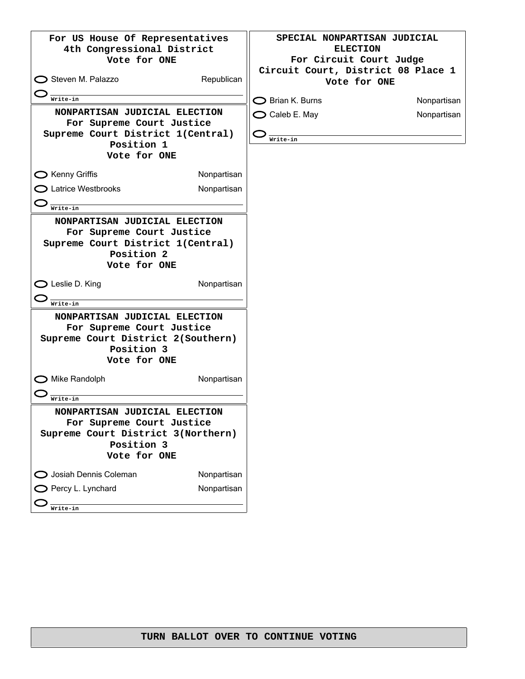| For US House Of Representatives<br>4th Congressional District<br>Vote for ONE                                                  |             | SPECIAL NONPARTISAN JUDICIAL<br><b>ELECTION</b><br>For Circuit Court Judge<br>Circuit Court, District 08 Place 1 |             |
|--------------------------------------------------------------------------------------------------------------------------------|-------------|------------------------------------------------------------------------------------------------------------------|-------------|
| $\bigcirc$ Steven M. Palazzo                                                                                                   | Republican  | Vote for ONE                                                                                                     |             |
| Write-in                                                                                                                       |             | $\bigcirc$ Brian K. Burns                                                                                        | Nonpartisan |
| NONPARTISAN JUDICIAL ELECTION<br>For Supreme Court Justice<br>Supreme Court District 1(Central)<br>Position 1<br>Vote for ONE  |             | $\bigcirc$ Caleb E. May<br>Write-in                                                                              | Nonpartisan |
| $\bigcirc$ Kenny Griffis                                                                                                       | Nonpartisan |                                                                                                                  |             |
| > Latrice Westbrooks                                                                                                           | Nonpartisan |                                                                                                                  |             |
| Write-in                                                                                                                       |             |                                                                                                                  |             |
| NONPARTISAN JUDICIAL ELECTION                                                                                                  |             |                                                                                                                  |             |
| For Supreme Court Justice<br>Supreme Court District 1(Central)<br>Position 2<br>Vote for ONE                                   |             |                                                                                                                  |             |
| $\bigcirc$ Leslie D. King<br>Write-in                                                                                          | Nonpartisan |                                                                                                                  |             |
| NONPARTISAN JUDICIAL ELECTION<br>For Supreme Court Justice<br>Supreme Court District 2(Southern)<br>Position 3<br>Vote for ONE |             |                                                                                                                  |             |
| Mike Randolph<br>Write-in                                                                                                      | Nonpartisan |                                                                                                                  |             |
| NONPARTISAN JUDICIAL ELECTION<br>For Supreme Court Justice<br>Supreme Court District 3(Northern)<br>Position 3<br>Vote for ONE |             |                                                                                                                  |             |
| O Josiah Dennis Coleman                                                                                                        | Nonpartisan |                                                                                                                  |             |
| $\bigcirc$ Percy L. Lynchard<br>Write-in                                                                                       | Nonpartisan |                                                                                                                  |             |